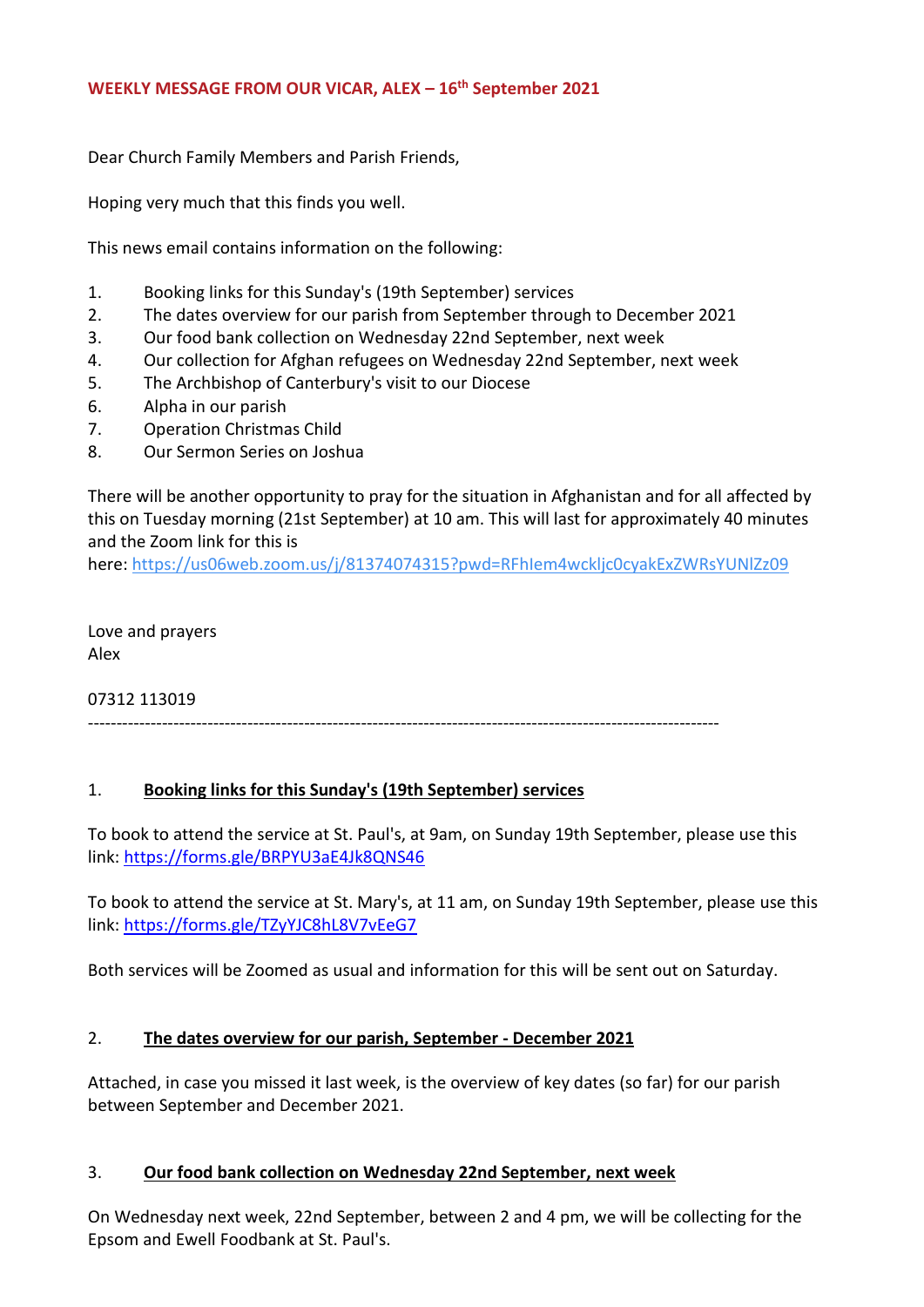Dear Church Family Members and Parish Friends,

Hoping very much that this finds you well.

This news email contains information on the following:

- 1. Booking links for this Sunday's (19th September) services
- 2. The dates overview for our parish from September through to December 2021
- 3. Our food bank collection on Wednesday 22nd September, next week
- 4. Our collection for Afghan refugees on Wednesday 22nd September, next week
- 5. The Archbishop of Canterbury's visit to our Diocese
- 6. Alpha in our parish
- 7. Operation Christmas Child
- 8. Our Sermon Series on Joshua

There will be another opportunity to pray for the situation in Afghanistan and for all affected by this on Tuesday morning (21st September) at 10 am. This will last for approximately 40 minutes and the Zoom link for this is

here: <https://us06web.zoom.us/j/81374074315?pwd=RFhIem4wckljc0cyakExZWRsYUNlZz09>

Love and prayers Alex

07312 113019

---------------------------------------------------------------------------------------------------------------

## 1. **Booking links for this Sunday's (19th September) services**

To book to attend the service at St. Paul's, at 9am, on Sunday 19th September, please use this link: <https://forms.gle/BRPYU3aE4Jk8QNS46>

To book to attend the service at St. Mary's, at 11 am, on Sunday 19th September, please use this link: <https://forms.gle/TZyYJC8hL8V7vEeG7>

Both services will be Zoomed as usual and information for this will be sent out on Saturday.

#### 2. **The dates overview for our parish, September - December 2021**

Attached, in case you missed it last week, is the overview of key dates (so far) for our parish between September and December 2021.

#### 3. **Our food bank collection on Wednesday 22nd September, next week**

On Wednesday next week, 22nd September, between 2 and 4 pm, we will be collecting for the Epsom and Ewell Foodbank at St. Paul's.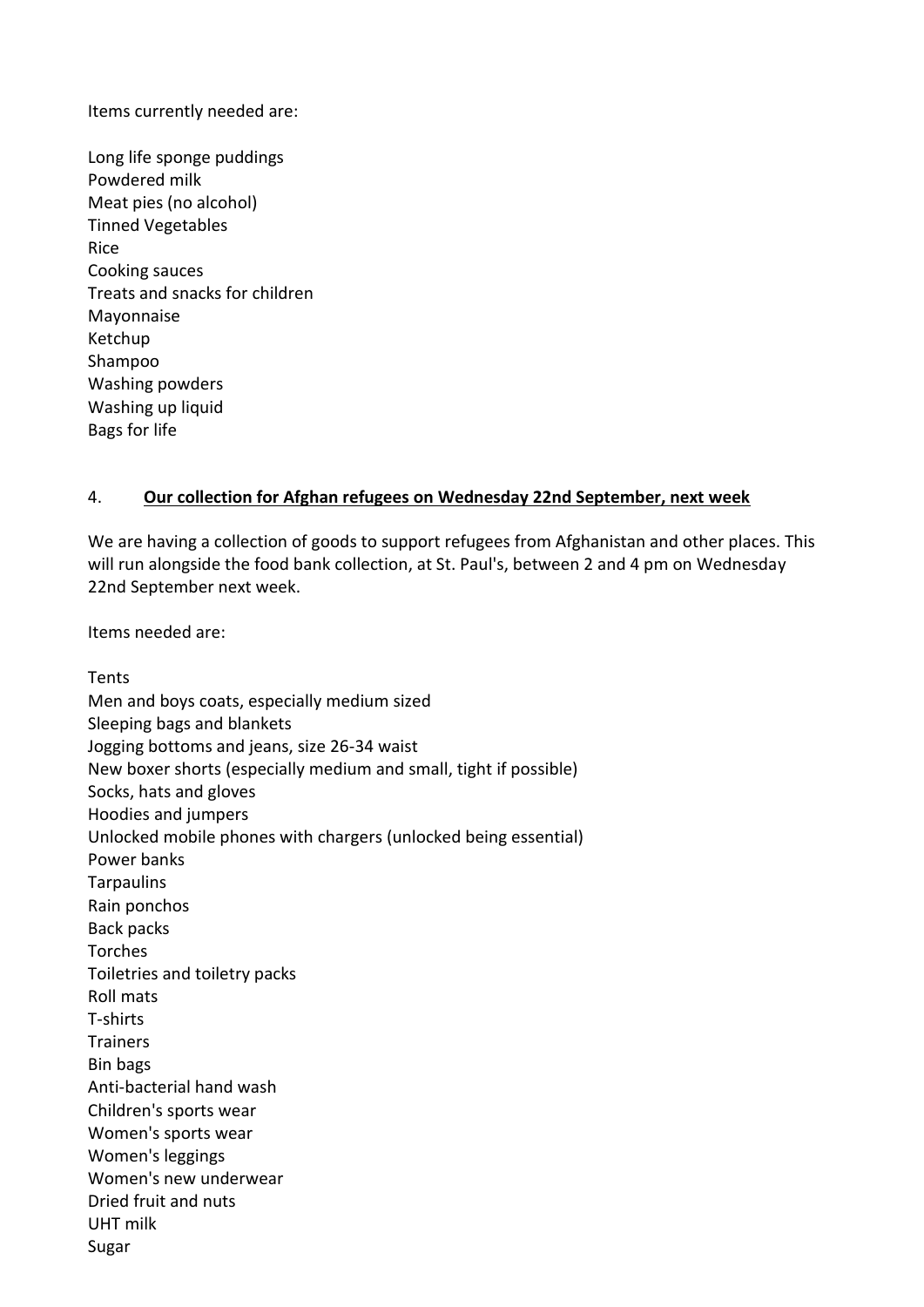Items currently needed are:

Long life sponge puddings Powdered milk Meat pies (no alcohol) Tinned Vegetables Rice Cooking sauces Treats and snacks for children Mayonnaise Ketchup Shampoo Washing powders Washing up liquid Bags for life

### 4. **Our collection for Afghan refugees on Wednesday 22nd September, next week**

We are having a collection of goods to support refugees from Afghanistan and other places. This will run alongside the food bank collection, at St. Paul's, between 2 and 4 pm on Wednesday 22nd September next week.

Items needed are:

Tents Men and boys coats, especially medium sized Sleeping bags and blankets Jogging bottoms and jeans, size 26-34 waist New boxer shorts (especially medium and small, tight if possible) Socks, hats and gloves Hoodies and jumpers Unlocked mobile phones with chargers (unlocked being essential) Power banks **Tarpaulins** Rain ponchos Back packs Torches Toiletries and toiletry packs Roll mats T-shirts **Trainers** Bin bags Anti-bacterial hand wash Children's sports wear Women's sports wear Women's leggings Women's new underwear Dried fruit and nuts UHT milk Sugar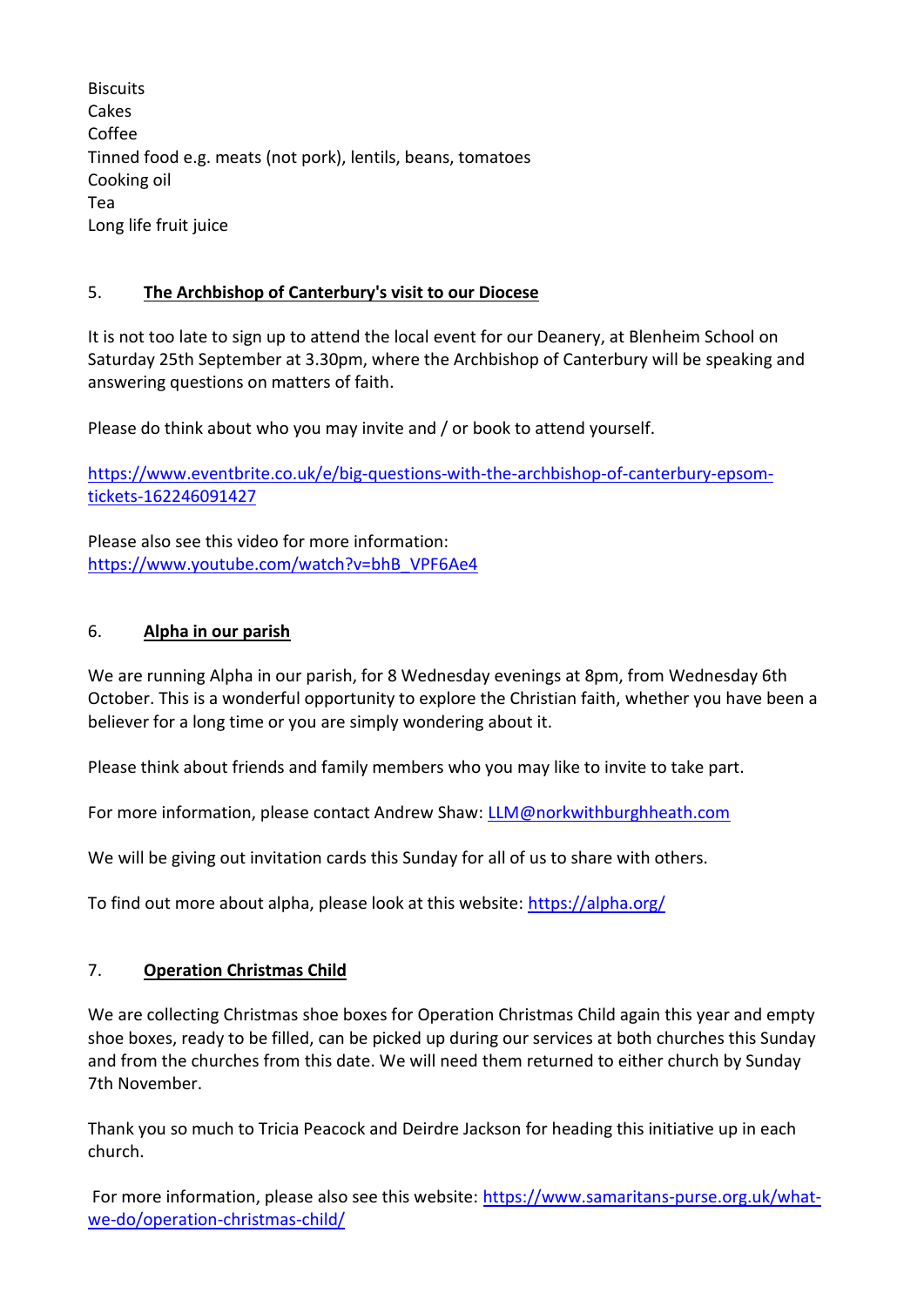**Biscuits** Cakes Coffee Tinned food e.g. meats (not pork), lentils, beans, tomatoes Cooking oil Tea Long life fruit juice

# 5. **The Archbishop of Canterbury's visit to our Diocese**

It is not too late to sign up to attend the local event for our Deanery, at Blenheim School on Saturday 25th September at 3.30pm, where the Archbishop of Canterbury will be speaking and answering questions on matters of faith.

Please do think about who you may invite and / or book to attend yourself.

[https://www.eventbrite.co.uk/e/big-questions-with-the-archbishop-of-canterbury-epsom](https://www.eventbrite.co.uk/e/big-questions-with-the-archbishop-of-canterbury-epsom-tickets-162246091427)[tickets-162246091427](https://www.eventbrite.co.uk/e/big-questions-with-the-archbishop-of-canterbury-epsom-tickets-162246091427)

Please also see this video for more information: [https://www.youtube.com/watch?v=bhB\\_VPF6Ae4](https://www.youtube.com/watch?v=bhB_VPF6Ae4)

# 6. **Alpha in our parish**

We are running Alpha in our parish, for 8 Wednesday evenings at 8pm, from Wednesday 6th October. This is a wonderful opportunity to explore the Christian faith, whether you have been a believer for a long time or you are simply wondering about it.

Please think about friends and family members who you may like to invite to take part.

For more information, please contact Andrew Shaw: [LLM@norkwithburghheath.com](mailto:LLM@norkwithburghheath.com)

We will be giving out invitation cards this Sunday for all of us to share with others.

To find out more about alpha, please look at this website: <https://alpha.org/>

## 7. **Operation Christmas Child**

We are collecting Christmas shoe boxes for Operation Christmas Child again this year and empty shoe boxes, ready to be filled, can be picked up during our services at both churches this Sunday and from the churches from this date. We will need them returned to either church by Sunday 7th November.

Thank you so much to Tricia Peacock and Deirdre Jackson for heading this initiative up in each church.

For more information, please also see this website: [https://www.samaritans-purse.org.uk/what](https://www.samaritans-purse.org.uk/what-we-do/operation-christmas-child/)[we-do/operation-christmas-child/](https://www.samaritans-purse.org.uk/what-we-do/operation-christmas-child/)